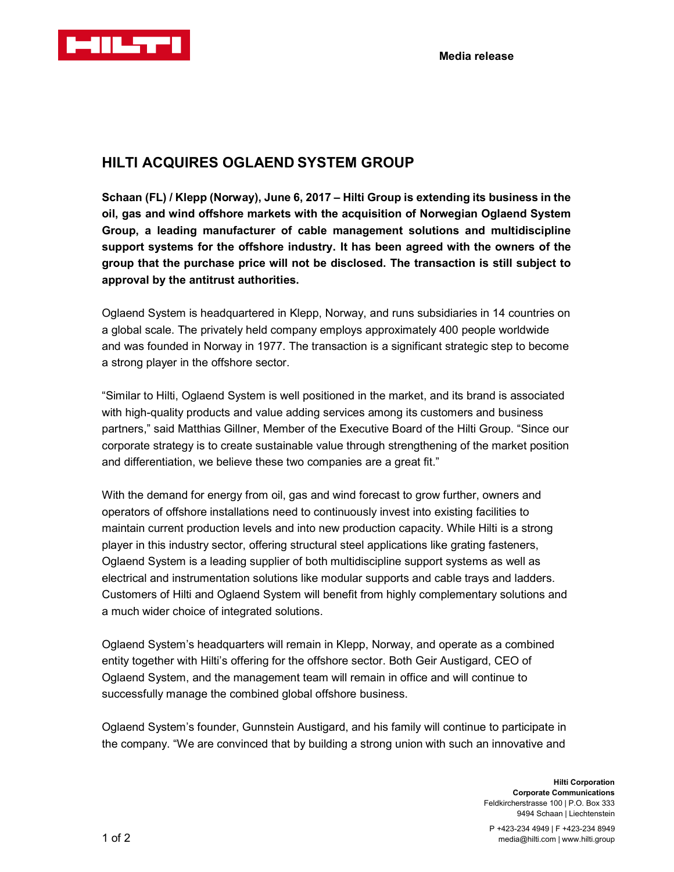

## HILTI ACQUIRES OGLAEND SYSTEM GROUP

Schaan (FL) / Klepp (Norway), June 6, 2017 – Hilti Group is extending its business in the oil, gas and wind offshore markets with the acquisition of Norwegian Oglaend System Group, a leading manufacturer of cable management solutions and multidiscipline support systems for the offshore industry. It has been agreed with the owners of the group that the purchase price will not be disclosed. The transaction is still subject to approval by the antitrust authorities.

Oglaend System is headquartered in Klepp, Norway, and runs subsidiaries in 14 countries on a global scale. The privately held company employs approximately 400 people worldwide and was founded in Norway in 1977. The transaction is a significant strategic step to become a strong player in the offshore sector.

"Similar to Hilti, Oglaend System is well positioned in the market, and its brand is associated with high-quality products and value adding services among its customers and business partners," said Matthias Gillner, Member of the Executive Board of the Hilti Group. "Since our corporate strategy is to create sustainable value through strengthening of the market position and differentiation, we believe these two companies are a great fit."

With the demand for energy from oil, gas and wind forecast to grow further, owners and operators of offshore installations need to continuously invest into existing facilities to maintain current production levels and into new production capacity. While Hilti is a strong player in this industry sector, offering structural steel applications like grating fasteners, Oglaend System is a leading supplier of both multidiscipline support systems as well as electrical and instrumentation solutions like modular supports and cable trays and ladders. Customers of Hilti and Oglaend System will benefit from highly complementary solutions and a much wider choice of integrated solutions.

Oglaend System's headquarters will remain in Klepp, Norway, and operate as a combined entity together with Hilti's offering for the offshore sector. Both Geir Austigard, CEO of Oglaend System, and the management team will remain in office and will continue to successfully manage the combined global offshore business.

Oglaend System's founder, Gunnstein Austigard, and his family will continue to participate in the company. "We are convinced that by building a strong union with such an innovative and

> Hilti Corporation Corporate Communications Feldkircherstrasse 100 | P.O. Box 333 9494 Schaan | Liechtenstein

P +423-234 4949 | F +423-234 8949 media@hilti.com | www.hilti.group